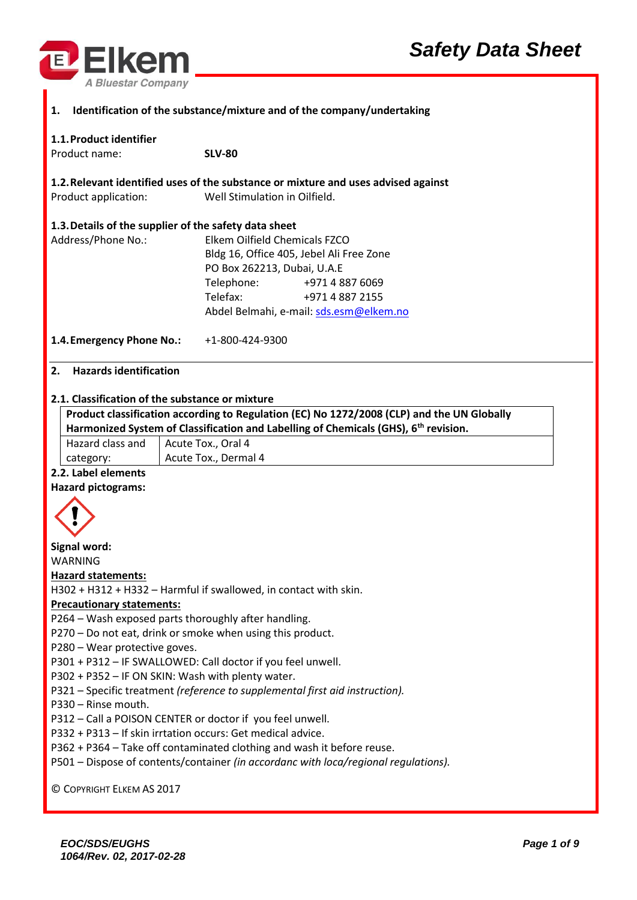



| $\blacksquare$ 1.<br>Identification of the substance/mixture and of the company/undertaking |                                                                                    |  |
|---------------------------------------------------------------------------------------------|------------------------------------------------------------------------------------|--|
| 1.1. Product identifier                                                                     |                                                                                    |  |
| Product name:                                                                               | <b>SLV-80</b>                                                                      |  |
|                                                                                             |                                                                                    |  |
|                                                                                             | 1.2. Relevant identified uses of the substance or mixture and uses advised against |  |
| Product application:                                                                        | Well Stimulation in Oilfield.                                                      |  |

# **1.3.Details of the supplier of the safety data sheet**

| Address/Phone No.: |                                          | Elkem Oilfield Chemicals FZCO           |  |
|--------------------|------------------------------------------|-----------------------------------------|--|
|                    | Bldg 16, Office 405, Jebel Ali Free Zone |                                         |  |
|                    | PO Box 262213, Dubai, U.A.E              |                                         |  |
|                    | Telephone:                               | +971 4 887 6069                         |  |
|                    | Telefax:                                 | +971 4 887 2155                         |  |
|                    |                                          | Abdel Belmahi, e-mail: sds.esm@elkem.no |  |
|                    |                                          |                                         |  |

**1.4.Emergency Phone No.:** +1-800-424-9300

## **2. Hazards identification**

## **2.1. Classification of the substance or mixture**

| Product classification according to Regulation (EC) No 1272/2008 (CLP) and the UN Globally<br>Harmonized System of Classification and Labelling of Chemicals (GHS), 6 <sup>th</sup> revision. |                      |
|-----------------------------------------------------------------------------------------------------------------------------------------------------------------------------------------------|----------------------|
| Hazard class and<br>Acute Tox., Oral 4                                                                                                                                                        |                      |
| category:                                                                                                                                                                                     | Acute Tox., Dermal 4 |
| .                                                                                                                                                                                             |                      |

## **2.2. Label elements**

### **Hazard pictograms:**



**Signal word:** WARNING

### **Hazard statements:**

H302 + H312 + H332 – Harmful if swallowed, in contact with skin.

## **Precautionary statements:**

P264 – Wash exposed parts thoroughly after handling.

P270 – Do not eat, drink or smoke when using this product.

P280 – Wear protective goves.

P301 + P312 – IF SWALLOWED: Call doctor if you feel unwell.

P302 + P352 – IF ON SKIN: Wash with plenty water.

P321 – Specific treatment *(reference to supplemental first aid instruction).*

P330 – Rinse mouth.

P312 – Call a POISON CENTER or doctor if you feel unwell.

P332 + P313 – If skin irrtation occurs: Get medical advice.

P362 + P364 – Take off contaminated clothing and wash it before reuse.

P501 – Dispose of contents/container *(in accordanc with loca/regional regulations).*

© COPYRIGHT ELKEM AS 2017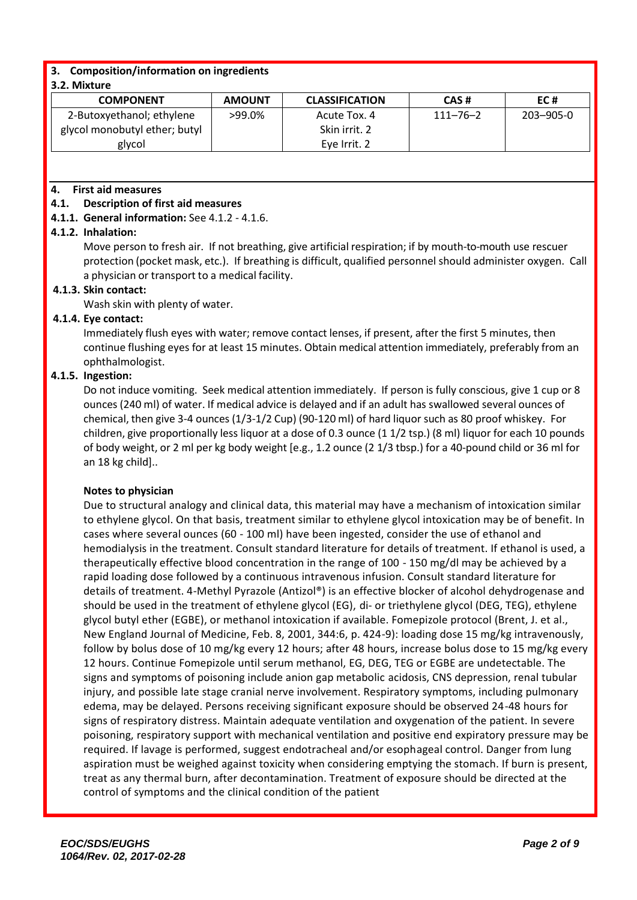## **3. Composition/information on ingredients**

## **3.2. Mixture**

| <b>COMPONENT</b>              | <b>AMOUNT</b> | <b>CLASSIFICATION</b> | CAS#           | EC#             |
|-------------------------------|---------------|-----------------------|----------------|-----------------|
| 2-Butoxyethanol; ethylene     | >99.0%        | Acute Tox. 4          | $111 - 76 - 2$ | $203 - 905 - 0$ |
| glycol monobutyl ether; butyl |               | Skin irrit. 2         |                |                 |
| glycol                        |               | Eve Irrit. 2          |                |                 |

## **4. First aid measures**

## **4.1. Description of first aid measures**

**4.1.1. General information:** See 4.1.2 - 4.1.6.

## **4.1.2. Inhalation:**

Move person to fresh air. If not breathing, give artificial respiration; if by mouth-to-mouth use rescuer protection (pocket mask, etc.). If breathing is difficult, qualified personnel should administer oxygen. Call a physician or transport to a medical facility.

## **4.1.3. Skin contact:**

Wash skin with plenty of water.

## **4.1.4. Eye contact:**

Immediately flush eyes with water; remove contact lenses, if present, after the first 5 minutes, then continue flushing eyes for at least 15 minutes. Obtain medical attention immediately, preferably from an ophthalmologist.

## **4.1.5. Ingestion:**

Do not induce vomiting. Seek medical attention immediately. If person is fully conscious, give 1 cup or 8 ounces (240 ml) of water. If medical advice is delayed and if an adult has swallowed several ounces of chemical, then give 3-4 ounces (1/3-1/2 Cup) (90-120 ml) of hard liquor such as 80 proof whiskey. For children, give proportionally less liquor at a dose of 0.3 ounce (1 1/2 tsp.) (8 ml) liquor for each 10 pounds of body weight, or 2 ml per kg body weight [e.g., 1.2 ounce (2 1/3 tbsp.) for a 40-pound child or 36 ml for an 18 kg child]..

### **Notes to physician**

Due to structural analogy and clinical data, this material may have a mechanism of intoxication similar to ethylene glycol. On that basis, treatment similar to ethylene glycol intoxication may be of benefit. In cases where several ounces (60 - 100 ml) have been ingested, consider the use of ethanol and hemodialysis in the treatment. Consult standard literature for details of treatment. If ethanol is used, a therapeutically effective blood concentration in the range of 100 - 150 mg/dl may be achieved by a rapid loading dose followed by a continuous intravenous infusion. Consult standard literature for details of treatment. 4-Methyl Pyrazole (Antizol®) is an effective blocker of alcohol dehydrogenase and should be used in the treatment of ethylene glycol (EG), di- or triethylene glycol (DEG, TEG), ethylene glycol butyl ether (EGBE), or methanol intoxication if available. Fomepizole protocol (Brent, J. et al., New England Journal of Medicine, Feb. 8, 2001, 344:6, p. 424-9): loading dose 15 mg/kg intravenously, follow by bolus dose of 10 mg/kg every 12 hours; after 48 hours, increase bolus dose to 15 mg/kg every 12 hours. Continue Fomepizole until serum methanol, EG, DEG, TEG or EGBE are undetectable. The signs and symptoms of poisoning include anion gap metabolic acidosis, CNS depression, renal tubular injury, and possible late stage cranial nerve involvement. Respiratory symptoms, including pulmonary edema, may be delayed. Persons receiving significant exposure should be observed 24-48 hours for signs of respiratory distress. Maintain adequate ventilation and oxygenation of the patient. In severe poisoning, respiratory support with mechanical ventilation and positive end expiratory pressure may be required. If lavage is performed, suggest endotracheal and/or esophageal control. Danger from lung aspiration must be weighed against toxicity when considering emptying the stomach. If burn is present, treat as any thermal burn, after decontamination. Treatment of exposure should be directed at the control of symptoms and the clinical condition of the patient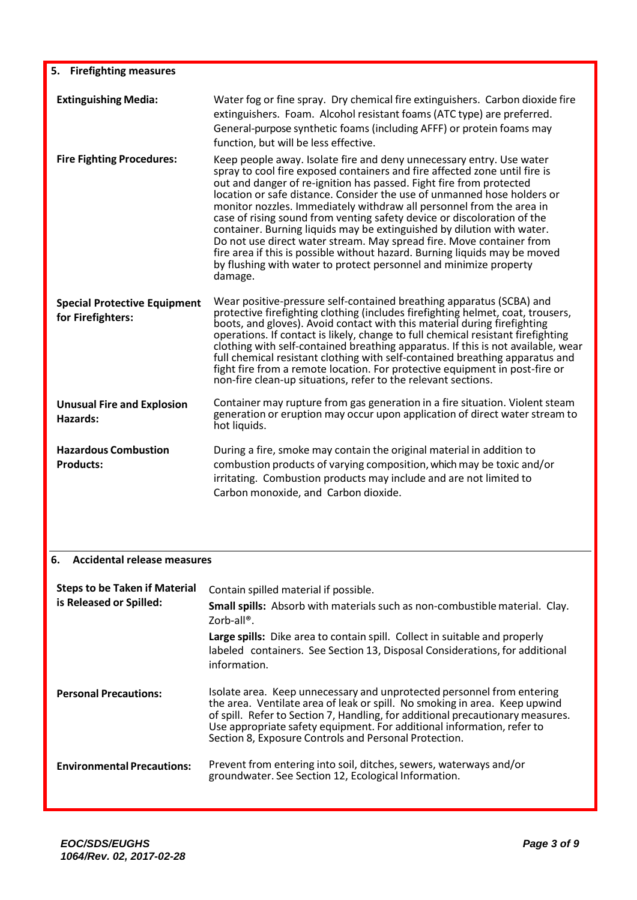| 5. Firefighting measures                                 |                                                                                                                                                                                                                                                                                                                                                                                                                                                                                                                                                                                                                                                                                                                                                                         |
|----------------------------------------------------------|-------------------------------------------------------------------------------------------------------------------------------------------------------------------------------------------------------------------------------------------------------------------------------------------------------------------------------------------------------------------------------------------------------------------------------------------------------------------------------------------------------------------------------------------------------------------------------------------------------------------------------------------------------------------------------------------------------------------------------------------------------------------------|
| <b>Extinguishing Media:</b>                              | Water fog or fine spray. Dry chemical fire extinguishers. Carbon dioxide fire<br>extinguishers. Foam. Alcohol resistant foams (ATC type) are preferred.<br>General-purpose synthetic foams (including AFFF) or protein foams may<br>function, but will be less effective.                                                                                                                                                                                                                                                                                                                                                                                                                                                                                               |
| <b>Fire Fighting Procedures:</b>                         | Keep people away. Isolate fire and deny unnecessary entry. Use water<br>spray to cool fire exposed containers and fire affected zone until fire is<br>out and danger of re-ignition has passed. Fight fire from protected<br>location or safe distance. Consider the use of unmanned hose holders or<br>monitor nozzles. Immediately withdraw all personnel from the area in<br>case of rising sound from venting safety device or discoloration of the<br>container. Burning liquids may be extinguished by dilution with water.<br>Do not use direct water stream. May spread fire. Move container from<br>fire area if this is possible without hazard. Burning liquids may be moved<br>by flushing with water to protect personnel and minimize property<br>damage. |
| <b>Special Protective Equipment</b><br>for Firefighters: | Wear positive-pressure self-contained breathing apparatus (SCBA) and<br>protective firefighting clothing (includes firefighting helmet, coat, trousers,<br>boots, and gloves). Avoid contact with this material during firefighting<br>operations. If contact is likely, change to full chemical resistant firefighting<br>clothing with self-contained breathing apparatus. If this is not available, wear<br>full chemical resistant clothing with self-contained breathing apparatus and<br>fight fire from a remote location. For protective equipment in post-fire or<br>non-fire clean-up situations, refer to the relevant sections.                                                                                                                             |
| <b>Unusual Fire and Explosion</b><br>Hazards:            | Container may rupture from gas generation in a fire situation. Violent steam<br>generation or eruption may occur upon application of direct water stream to<br>hot liquids.                                                                                                                                                                                                                                                                                                                                                                                                                                                                                                                                                                                             |
| <b>Hazardous Combustion</b><br><b>Products:</b>          | During a fire, smoke may contain the original material in addition to<br>combustion products of varying composition, which may be toxic and/or<br>irritating. Combustion products may include and are not limited to<br>Carbon monoxide, and Carbon dioxide.                                                                                                                                                                                                                                                                                                                                                                                                                                                                                                            |
| <b>Accidental release measures</b><br>6.                 |                                                                                                                                                                                                                                                                                                                                                                                                                                                                                                                                                                                                                                                                                                                                                                         |
| <b>Steps to be Taken if Material</b>                     | Contain spilled material if possible.                                                                                                                                                                                                                                                                                                                                                                                                                                                                                                                                                                                                                                                                                                                                   |
| is Released or Spilled:                                  | Small spills: Absorb with materials such as non-combustible material. Clay.<br>Zorb-all®.                                                                                                                                                                                                                                                                                                                                                                                                                                                                                                                                                                                                                                                                               |
|                                                          | Large spills: Dike area to contain spill. Collect in suitable and properly<br>labeled containers. See Section 13, Disposal Considerations, for additional<br>information.                                                                                                                                                                                                                                                                                                                                                                                                                                                                                                                                                                                               |

| <b>Personal Precautions:</b> | Isolate area. Keep unnecessary and unprotected personnel from entering<br>the area. Ventilate area of leak or spill. No smoking in area. Keep upwind<br>of spill. Refer to Section 7, Handling, for additional precautionary measures.<br>Use appropriate safety equipment. For additional information, refer to<br>Section 8, Exposure Controls and Personal Protection. |
|------------------------------|---------------------------------------------------------------------------------------------------------------------------------------------------------------------------------------------------------------------------------------------------------------------------------------------------------------------------------------------------------------------------|
|                              |                                                                                                                                                                                                                                                                                                                                                                           |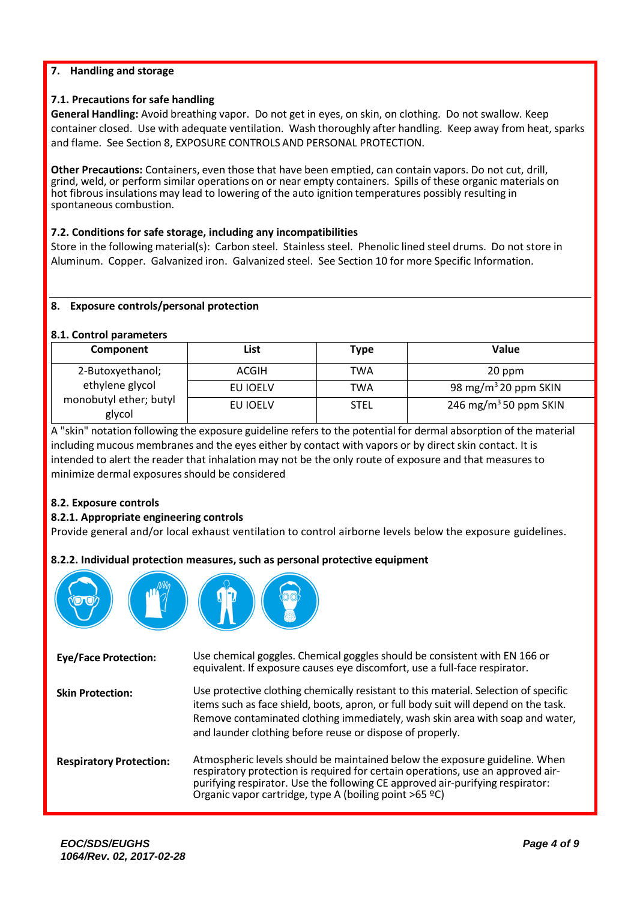## **7. Handling and storage**

## **7.1. Precautions for safe handling**

**General Handling:** Avoid breathing vapor. Do not get in eyes, on skin, on clothing. Do not swallow. Keep container closed. Use with adequate ventilation. Wash thoroughly after handling. Keep away from heat, sparks and flame. See Section 8, EXPOSURE CONTROLS AND PERSONAL PROTECTION.

**Other Precautions:** Containers, even those that have been emptied, can contain vapors. Do not cut, drill, grind, weld, or perform similar operations on or near empty containers. Spills of these organic materials on hot fibrous insulations may lead to lowering of the auto ignition temperatures possibly resulting in spontaneous combustion.

## **7.2. Conditions for safe storage, including any incompatibilities**

Store in the following material(s): Carbon steel. Stainless steel. Phenolic lined steel drums. Do not store in Aluminum. Copper. Galvanized iron. Galvanized steel. See Section 10 for more Specific Information.

### **8. Exposure controls/personal protection**

### **8.1. Control parameters**

| Component                        | List     | <b>Type</b> | Value                             |
|----------------------------------|----------|-------------|-----------------------------------|
| 2-Butoxyethanol;                 | ACGIH    | TWA         | 20 ppm                            |
| ethylene glycol                  | EU IOELV | TWA         | 98 mg/m <sup>3</sup> 20 ppm SKIN  |
| monobutyl ether; butyl<br>glycol | EU IOELV | <b>STEL</b> | 246 mg/m <sup>3</sup> 50 ppm SKIN |

A "skin" notation following the exposure guideline refersto the potential for dermal absorption of the material including mucous membranes and the eyes either by contact with vapors or by direct skin contact. It is intended to alert the reader that inhalation may not be the only route of exposure and that measures to minimize dermal exposures should be considered

## **8.2. Exposure controls**

### **8.2.1. Appropriate engineering controls**

Provide general and/or local exhaust ventilation to control airborne levels below the exposure guidelines.

### **8.2.2. Individual protection measures, such as personal protective equipment**

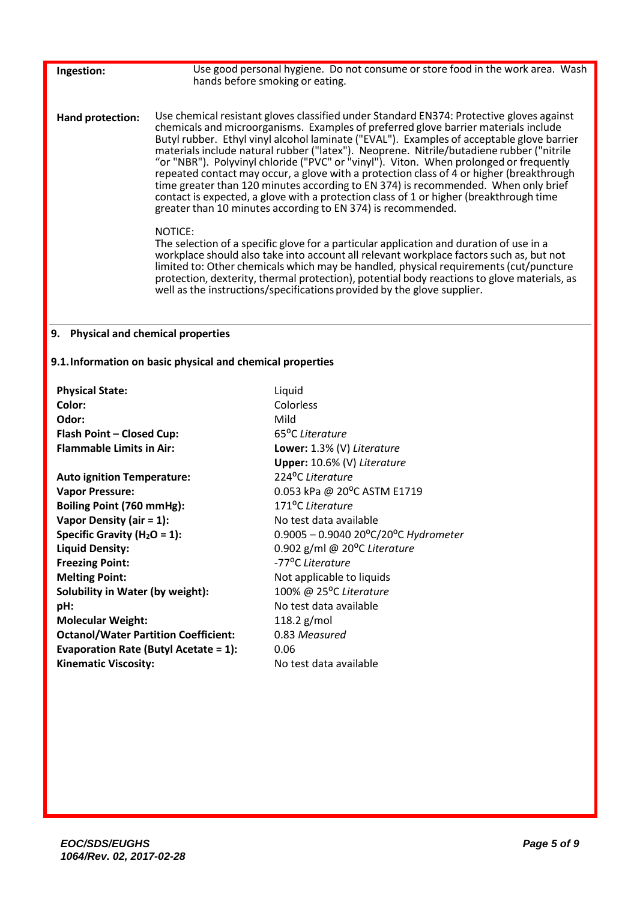| Ingestion:              | Use good personal hygiene. Do not consume or store food in the work area. Wash<br>hands before smoking or eating.                                                                                                                                                                                                                                                                                                                                                                                                                                                                                                                                                                                                                                                                                                                                                                                                                                                                                                                                                                                                                                                                                                                                                                  |
|-------------------------|------------------------------------------------------------------------------------------------------------------------------------------------------------------------------------------------------------------------------------------------------------------------------------------------------------------------------------------------------------------------------------------------------------------------------------------------------------------------------------------------------------------------------------------------------------------------------------------------------------------------------------------------------------------------------------------------------------------------------------------------------------------------------------------------------------------------------------------------------------------------------------------------------------------------------------------------------------------------------------------------------------------------------------------------------------------------------------------------------------------------------------------------------------------------------------------------------------------------------------------------------------------------------------|
| <b>Hand protection:</b> | Use chemical resistant gloves classified under Standard EN374: Protective gloves against<br>chemicals and microorganisms. Examples of preferred glove barrier materials include<br>Butyl rubber. Ethyl vinyl alcohol laminate ("EVAL"). Examples of acceptable glove barrier<br>materials include natural rubber ("latex"). Neoprene. Nitrile/butadiene rubber ("nitrile<br>"or "NBR"). Polyvinyl chloride ("PVC" or "vinyl"). Viton. When prolonged or frequently<br>repeated contact may occur, a glove with a protection class of 4 or higher (breakthrough<br>time greater than 120 minutes according to EN 374) is recommended. When only brief<br>contact is expected, a glove with a protection class of 1 or higher (breakthrough time<br>greater than 10 minutes according to EN 374) is recommended.<br>NOTICE:<br>The selection of a specific glove for a particular application and duration of use in a<br>workplace should also take into account all relevant workplace factors such as, but not<br>limited to: Other chemicals which may be handled, physical requirements (cut/puncture<br>protection, dexterity, thermal protection), potential body reactions to glove materials, as<br>well as the instructions/specifications provided by the glove supplier. |
|                         |                                                                                                                                                                                                                                                                                                                                                                                                                                                                                                                                                                                                                                                                                                                                                                                                                                                                                                                                                                                                                                                                                                                                                                                                                                                                                    |

## **9. Physical and chemical properties**

## **9.1.Information on basic physical and chemical properties**

| <b>Physical State:</b>                       | Liquid                                         |
|----------------------------------------------|------------------------------------------------|
| Color:                                       | Colorless                                      |
| Odor:                                        | Mild                                           |
| Flash Point - Closed Cup:                    | 65 <sup>o</sup> C Literature                   |
| <b>Flammable Limits in Air:</b>              | Lower: 1.3% (V) Literature                     |
|                                              | Upper: 10.6% (V) Literature                    |
| <b>Auto ignition Temperature:</b>            | 224°C Literature                               |
| <b>Vapor Pressure:</b>                       | 0.053 kPa @ 20°C ASTM E1719                    |
| Boiling Point (760 mmHg):                    | 171 <sup>o</sup> C Literature                  |
| Vapor Density (air $= 1$ ):                  | No test data available                         |
| Specific Gravity ( $H_2O = 1$ ):             | $0.9005 - 0.9040 20^{\circ}$ C/20°C Hydrometer |
| <b>Liquid Density:</b>                       | 0.902 g/ml @ 20 $^{\circ}$ C Literature        |
| <b>Freezing Point:</b>                       | -77 <sup>o</sup> C Literature                  |
| <b>Melting Point:</b>                        | Not applicable to liquids                      |
| Solubility in Water (by weight):             | 100% @ 25°C Literature                         |
| pH:                                          | No test data available                         |
| <b>Molecular Weight:</b>                     | 118.2 $g/mol$                                  |
| <b>Octanol/Water Partition Coefficient:</b>  | 0.83 Measured                                  |
| <b>Evaporation Rate (Butyl Acetate = 1):</b> | 0.06                                           |
| <b>Kinematic Viscosity:</b>                  | No test data available                         |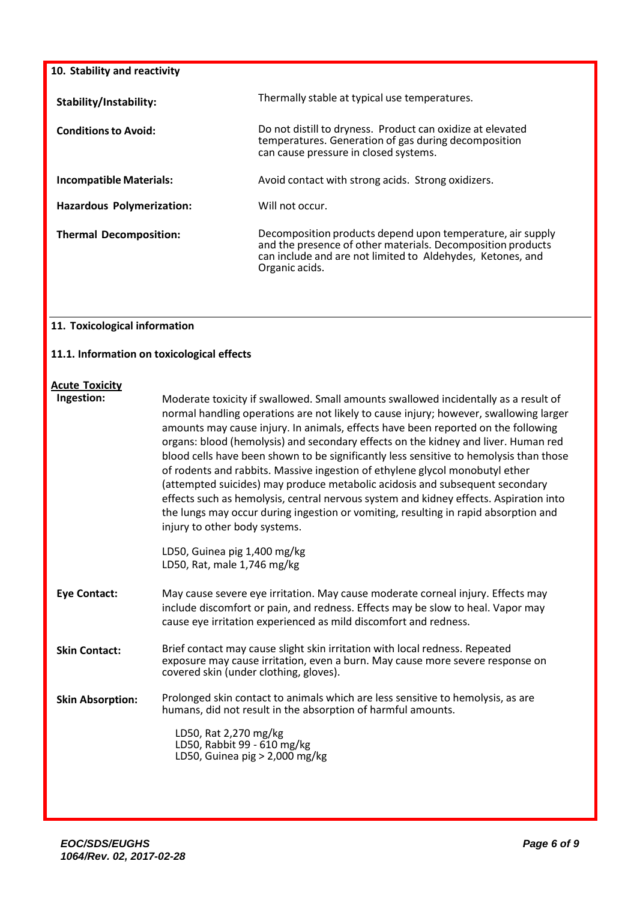| 10. Stability and reactivity  |                                                                                                                                                                                                           |  |
|-------------------------------|-----------------------------------------------------------------------------------------------------------------------------------------------------------------------------------------------------------|--|
| Stability/Instability:        | Thermally stable at typical use temperatures.                                                                                                                                                             |  |
| <b>Conditions to Avoid:</b>   | Do not distill to dryness. Product can oxidize at elevated<br>temperatures. Generation of gas during decomposition<br>can cause pressure in closed systems.                                               |  |
| Incompatible Materials:       | Avoid contact with strong acids. Strong oxidizers.                                                                                                                                                        |  |
| Hazardous Polymerization:     | Will not occur.                                                                                                                                                                                           |  |
| <b>Thermal Decomposition:</b> | Decomposition products depend upon temperature, air supply<br>and the presence of other materials. Decomposition products<br>can include and are not limited to Aldehydes, Ketones, and<br>Organic acids. |  |

## **11. Toxicological information**

## **11.1. Information on toxicological effects**

## **Acute Toxicity**

| Ingestion:              | Moderate toxicity if swallowed. Small amounts swallowed incidentally as a result of<br>normal handling operations are not likely to cause injury; however, swallowing larger<br>amounts may cause injury. In animals, effects have been reported on the following<br>organs: blood (hemolysis) and secondary effects on the kidney and liver. Human red<br>blood cells have been shown to be significantly less sensitive to hemolysis than those<br>of rodents and rabbits. Massive ingestion of ethylene glycol monobutyl ether<br>(attempted suicides) may produce metabolic acidosis and subsequent secondary<br>effects such as hemolysis, central nervous system and kidney effects. Aspiration into<br>the lungs may occur during ingestion or vomiting, resulting in rapid absorption and<br>injury to other body systems. |
|-------------------------|------------------------------------------------------------------------------------------------------------------------------------------------------------------------------------------------------------------------------------------------------------------------------------------------------------------------------------------------------------------------------------------------------------------------------------------------------------------------------------------------------------------------------------------------------------------------------------------------------------------------------------------------------------------------------------------------------------------------------------------------------------------------------------------------------------------------------------|
|                         | LD50, Guinea pig 1,400 mg/kg<br>LD50, Rat, male 1,746 mg/kg                                                                                                                                                                                                                                                                                                                                                                                                                                                                                                                                                                                                                                                                                                                                                                        |
| <b>Eye Contact:</b>     | May cause severe eye irritation. May cause moderate corneal injury. Effects may<br>include discomfort or pain, and redness. Effects may be slow to heal. Vapor may<br>cause eye irritation experienced as mild discomfort and redness.                                                                                                                                                                                                                                                                                                                                                                                                                                                                                                                                                                                             |
| <b>Skin Contact:</b>    | Brief contact may cause slight skin irritation with local redness. Repeated<br>exposure may cause irritation, even a burn. May cause more severe response on<br>covered skin (under clothing, gloves).                                                                                                                                                                                                                                                                                                                                                                                                                                                                                                                                                                                                                             |
| <b>Skin Absorption:</b> | Prolonged skin contact to animals which are less sensitive to hemolysis, as are<br>humans, did not result in the absorption of harmful amounts.<br>LD50, Rat 2,270 mg/kg<br>LD50, Rabbit 99 - 610 mg/kg<br>LD50, Guinea pig > 2,000 mg/kg                                                                                                                                                                                                                                                                                                                                                                                                                                                                                                                                                                                          |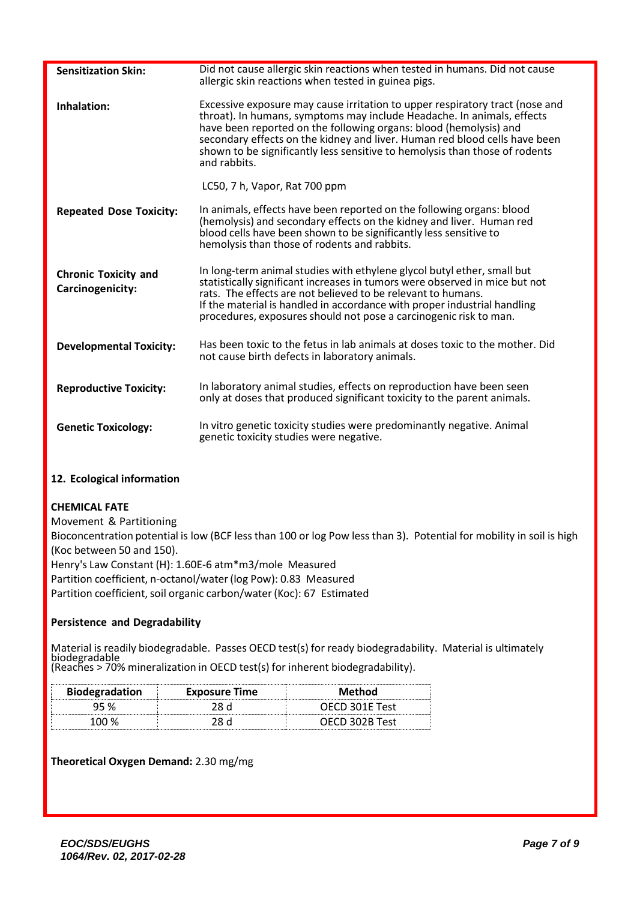| <b>Sensitization Skin:</b>                      | Did not cause allergic skin reactions when tested in humans. Did not cause<br>allergic skin reactions when tested in guinea pigs.                                                                                                                                                                                                                                                                        |
|-------------------------------------------------|----------------------------------------------------------------------------------------------------------------------------------------------------------------------------------------------------------------------------------------------------------------------------------------------------------------------------------------------------------------------------------------------------------|
| Inhalation:                                     | Excessive exposure may cause irritation to upper respiratory tract (nose and<br>throat). In humans, symptoms may include Headache. In animals, effects<br>have been reported on the following organs: blood (hemolysis) and<br>secondary effects on the kidney and liver. Human red blood cells have been<br>shown to be significantly less sensitive to hemolysis than those of rodents<br>and rabbits. |
|                                                 | LC50, 7 h, Vapor, Rat 700 ppm                                                                                                                                                                                                                                                                                                                                                                            |
| <b>Repeated Dose Toxicity:</b>                  | In animals, effects have been reported on the following organs: blood<br>(hemolysis) and secondary effects on the kidney and liver. Human red<br>blood cells have been shown to be significantly less sensitive to<br>hemolysis than those of rodents and rabbits.                                                                                                                                       |
| <b>Chronic Toxicity and</b><br>Carcinogenicity: | In long-term animal studies with ethylene glycol butyl ether, small but<br>statistically significant increases in tumors were observed in mice but not<br>rats. The effects are not believed to be relevant to humans.<br>If the material is handled in accordance with proper industrial handling<br>procedures, exposures should not pose a carcinogenic risk to man.                                  |
| <b>Developmental Toxicity:</b>                  | Has been toxic to the fetus in lab animals at doses toxic to the mother. Did<br>not cause birth defects in laboratory animals.                                                                                                                                                                                                                                                                           |
| <b>Reproductive Toxicity:</b>                   | In laboratory animal studies, effects on reproduction have been seen<br>only at doses that produced significant toxicity to the parent animals.                                                                                                                                                                                                                                                          |
| <b>Genetic Toxicology:</b>                      | In vitro genetic toxicity studies were predominantly negative. Animal<br>genetic toxicity studies were negative.                                                                                                                                                                                                                                                                                         |

## **12. Ecological information**

## **CHEMICAL FATE**

Movement & Partitioning Bioconcentration potential is low (BCF less than 100 or log Pow less than 3). Potential for mobility in soil is high (Koc between 50 and 150). Henry's Law Constant (H): 1.60E-6 atm\*m3/mole Measured Partition coefficient, n-octanol/water(log Pow): 0.83 Measured Partition coefficient, soil organic carbon/water (Koc): 67 Estimated

### **Persistence and Degradability**

Material is readily biodegradable. Passes OECD test(s) for ready biodegradability. Material is ultimately biodegradable (Reaches > 70% mineralization in OECD test(s) for inherent biodegradability).

| <b>Biodegradation</b> | <b>Exposure Time</b> | Method         |
|-----------------------|----------------------|----------------|
|                       |                      | OECD 301E Test |
| 100 %                 |                      | OECD 302B Test |

### **Theoretical Oxygen Demand:** 2.30 mg/mg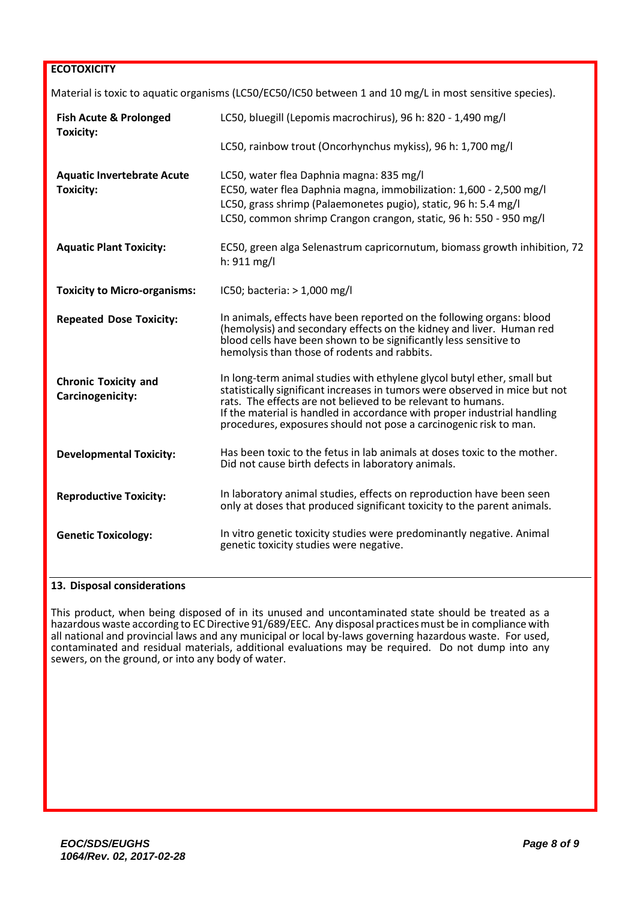### **ECOTOXICITY**

|                                                       | Material is toxic to aquatic organisms (LC50/EC50/IC50 between 1 and 10 mg/L in most sensitive species).                                                                                                                                                                                                                                                                |
|-------------------------------------------------------|-------------------------------------------------------------------------------------------------------------------------------------------------------------------------------------------------------------------------------------------------------------------------------------------------------------------------------------------------------------------------|
| <b>Fish Acute &amp; Prolonged</b><br><b>Toxicity:</b> | LC50, bluegill (Lepomis macrochirus), 96 h: 820 - 1,490 mg/l                                                                                                                                                                                                                                                                                                            |
|                                                       | LC50, rainbow trout (Oncorhynchus mykiss), 96 h: 1,700 mg/l                                                                                                                                                                                                                                                                                                             |
| <b>Aquatic Invertebrate Acute</b><br><b>Toxicity:</b> | LC50, water flea Daphnia magna: 835 mg/l<br>EC50, water flea Daphnia magna, immobilization: 1,600 - 2,500 mg/l<br>LC50, grass shrimp (Palaemonetes pugio), static, 96 h: 5.4 mg/l<br>LC50, common shrimp Crangon crangon, static, 96 h: 550 - 950 mg/l                                                                                                                  |
| <b>Aquatic Plant Toxicity:</b>                        | EC50, green alga Selenastrum capricornutum, biomass growth inhibition, 72<br>$h: 911$ mg/l                                                                                                                                                                                                                                                                              |
| <b>Toxicity to Micro-organisms:</b>                   | IC50; bacteria: > 1,000 mg/l                                                                                                                                                                                                                                                                                                                                            |
| <b>Repeated Dose Toxicity:</b>                        | In animals, effects have been reported on the following organs: blood<br>(hemolysis) and secondary effects on the kidney and liver. Human red<br>blood cells have been shown to be significantly less sensitive to<br>hemolysis than those of rodents and rabbits.                                                                                                      |
| <b>Chronic Toxicity and</b><br>Carcinogenicity:       | In long-term animal studies with ethylene glycol butyl ether, small but<br>statistically significant increases in tumors were observed in mice but not<br>rats. The effects are not believed to be relevant to humans.<br>If the material is handled in accordance with proper industrial handling<br>procedures, exposures should not pose a carcinogenic risk to man. |
| <b>Developmental Toxicity:</b>                        | Has been toxic to the fetus in lab animals at doses toxic to the mother.<br>Did not cause birth defects in laboratory animals.                                                                                                                                                                                                                                          |
| <b>Reproductive Toxicity:</b>                         | In laboratory animal studies, effects on reproduction have been seen<br>only at doses that produced significant toxicity to the parent animals.                                                                                                                                                                                                                         |
| <b>Genetic Toxicology:</b>                            | In vitro genetic toxicity studies were predominantly negative. Animal<br>genetic toxicity studies were negative.                                                                                                                                                                                                                                                        |

## **13. Disposal considerations**

This product, when being disposed of in its unused and uncontaminated state should be treated as a hazardous waste according to EC Directive 91/689/EEC. Any disposal practices must be in compliance with all national and provincial laws and any municipal or local by-laws governing hazardous waste. For used, contaminated and residual materials, additional evaluations may be required. Do not dump into any sewers, on the ground, or into any body of water.